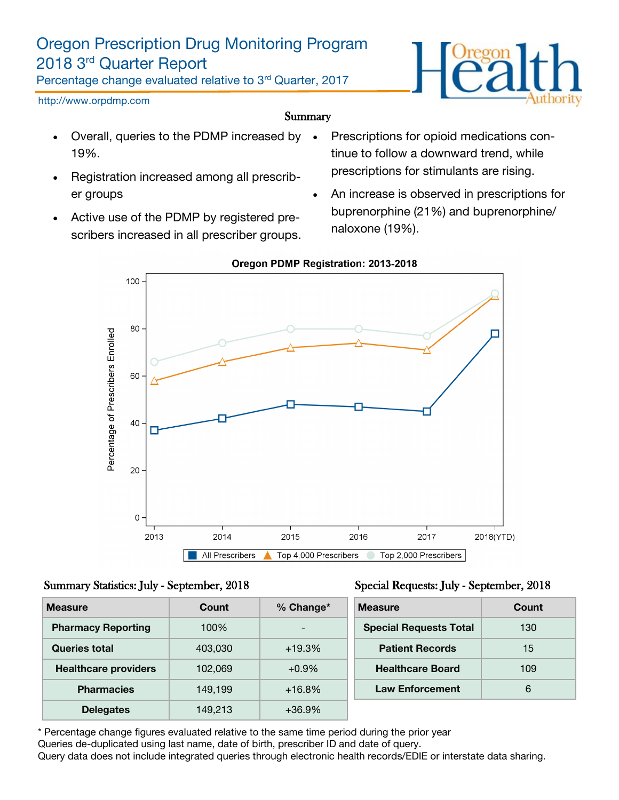# Oregon Prescription Drug Monitoring Program 2018 3rd Quarter Report

Percentage change evaluated relative to 3rd Quarter, 2017



#### http://www.orpdmp.com

#### Summary

- Overall, queries to the PDMP increased by 19%.
- Registration increased among all prescriber groups
- Active use of the PDMP by registered prescribers increased in all prescriber groups.
- Prescriptions for opioid medications continue to follow a downward trend, while prescriptions for stimulants are rising.
- An increase is observed in prescriptions for buprenorphine (21%) and buprenorphine/ naloxone (19%).



### **Oregon PDMP Registration: 2013-2018**

#### Summary Statistics: July - September, 2018

| <b>Measure</b>              | Count   | % Change*                | <b>Measure</b>                | Count |
|-----------------------------|---------|--------------------------|-------------------------------|-------|
| <b>Pharmacy Reporting</b>   | 100%    | $\overline{\phantom{0}}$ | <b>Special Requests Total</b> | 130   |
| Queries total               | 403,030 | $+19.3%$                 | <b>Patient Records</b>        | 15    |
| <b>Healthcare providers</b> | 102,069 | $+0.9%$                  | <b>Healthcare Board</b>       | 109   |
| <b>Pharmacies</b>           | 149,199 | $+16.8%$                 | <b>Law Enforcement</b>        | 6     |
| <b>Delegates</b>            | 149,213 | $+36.9%$                 |                               |       |

\* Percentage change figures evaluated relative to the same time period during the prior year Queries de-duplicated using last name, date of birth, prescriber ID and date of query. Query data does not include integrated queries through electronic health records/EDIE or interstate data sharing.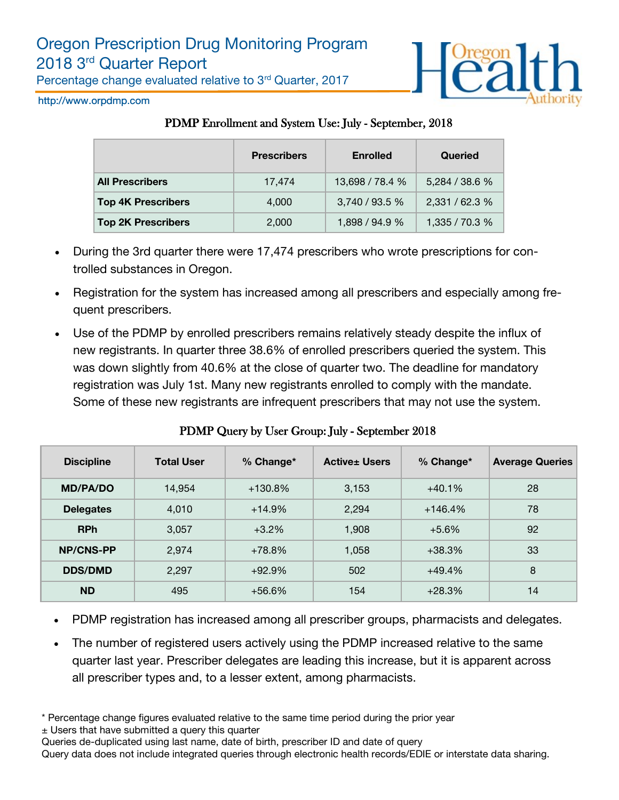



http://www.orpdmp.com

### PDMP Enrollment and System Use: July - September, 2018

|                           | <b>Prescribers</b> | <b>Enrolled</b> | Queried        |
|---------------------------|--------------------|-----------------|----------------|
| <b>All Prescribers</b>    | 17,474             | 13,698 / 78.4 % | 5,284 / 38.6 % |
| <b>Top 4K Prescribers</b> | 4.000              | 3,740 / 93.5 %  | 2,331 / 62.3 % |
| <b>Top 2K Prescribers</b> | 2,000              | 1,898 / 94.9 %  | 1,335 / 70.3 % |

- During the 3rd quarter there were 17,474 prescribers who wrote prescriptions for controlled substances in Oregon.
- Registration for the system has increased among all prescribers and especially among frequent prescribers.
- Use of the PDMP by enrolled prescribers remains relatively steady despite the influx of new registrants. In quarter three 38.6% of enrolled prescribers queried the system. This was down slightly from 40.6% at the close of quarter two. The deadline for mandatory registration was July 1st. Many new registrants enrolled to comply with the mandate. Some of these new registrants are infrequent prescribers that may not use the system.

| <b>Discipline</b> | <b>Total User</b> | % Change* | <b>Active</b> ± Users | $%$ Change* | <b>Average Queries</b> |
|-------------------|-------------------|-----------|-----------------------|-------------|------------------------|
| <b>MD/PA/DO</b>   | 14,954            | $+130.8%$ | 3,153                 | $+40.1%$    | 28                     |
| <b>Delegates</b>  | 4,010             | $+14.9%$  | 2,294                 | $+146.4%$   | 78                     |
| <b>RPh</b>        | 3,057             | $+3.2\%$  | 1,908                 | $+5.6\%$    | 92                     |
| <b>NP/CNS-PP</b>  | 2,974             | $+78.8%$  | 1,058                 | $+38.3%$    | 33                     |
| <b>DDS/DMD</b>    | 2,297             | $+92.9%$  | 502                   | $+49.4%$    | 8                      |
| <b>ND</b>         | 495               | $+56.6%$  | 154                   | $+28.3%$    | 14                     |

## PDMP Query by User Group: July - September 2018

- PDMP registration has increased among all prescriber groups, pharmacists and delegates.
- The number of registered users actively using the PDMP increased relative to the same quarter last year. Prescriber delegates are leading this increase, but it is apparent across all prescriber types and, to a lesser extent, among pharmacists.
- \* Percentage change figures evaluated relative to the same time period during the prior year ± Users that have submitted a query this quarter

Queries de-duplicated using last name, date of birth, prescriber ID and date of query

Query data does not include integrated queries through electronic health records/EDIE or interstate data sharing.